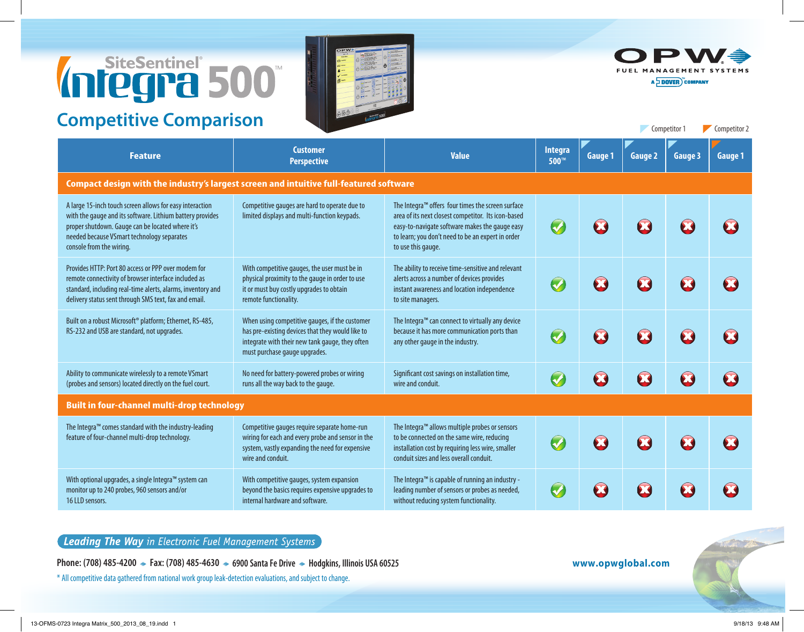## Infegrato

## **Competitive Comparison**





Competitor 1 Competitor 2

A DOVER COMPANY

| <b>Feature</b>                                                                                                                                                                                                                                      | <b>Customer</b><br><b>Perspective</b>                                                                                                                                                  | <b>Value</b>                                                                                                                                                                                                                                      | Integra<br>500™      | <b>Gauge 1</b> | <b>Gauge 2</b> | <b>Gauge 3</b> | <b>Gauge 1</b> |  |  |  |  |
|-----------------------------------------------------------------------------------------------------------------------------------------------------------------------------------------------------------------------------------------------------|----------------------------------------------------------------------------------------------------------------------------------------------------------------------------------------|---------------------------------------------------------------------------------------------------------------------------------------------------------------------------------------------------------------------------------------------------|----------------------|----------------|----------------|----------------|----------------|--|--|--|--|
| Compact design with the industry's largest screen and intuitive full-featured software                                                                                                                                                              |                                                                                                                                                                                        |                                                                                                                                                                                                                                                   |                      |                |                |                |                |  |  |  |  |
| A large 15-inch touch screen allows for easy interaction<br>with the gauge and its software. Lithium battery provides<br>proper shutdown. Gauge can be located where it's<br>needed because VSmart technology separates<br>console from the wiring. | Competitive gauges are hard to operate due to<br>limited displays and multi-function keypads.                                                                                          | The Integra <sup>™</sup> offers four times the screen surface<br>area of its next closest competitor. Its icon-based<br>easy-to-navigate software makes the gauge easy<br>to learn; you don't need to be an expert in order<br>to use this gauge. | $\bigcirc$           |                |                | 23             |                |  |  |  |  |
| Provides HTTP: Port 80 access or PPP over modem for<br>remote connectivity of browser interface included as<br>standard, including real-time alerts, alarms, inventory and<br>delivery status sent through SMS text, fax and email.                 | With competitive gauges, the user must be in<br>physical proximity to the gauge in order to use<br>it or must buy costly upgrades to obtain<br>remote functionality.                   | The ability to receive time-sensitive and relevant<br>alerts across a number of devices provides<br>instant awareness and location independence<br>to site managers.                                                                              | $\bigcirc$           | $\bullet$      | 23             | 23             |                |  |  |  |  |
| Built on a robust Microsoft® platform; Ethernet, RS-485,<br>RS-232 and USB are standard, not upgrades.                                                                                                                                              | When using competitive gauges, if the customer<br>has pre-existing devices that they would like to<br>integrate with their new tank gauge, they often<br>must purchase gauge upgrades. | The Integra <sup>™</sup> can connect to virtually any device<br>because it has more communication ports than<br>any other gauge in the industry.                                                                                                  | $\bigcirc$           |                | $\mathbf{Z}$   | 23             |                |  |  |  |  |
| Ability to communicate wirelessly to a remote VSmart<br>(probes and sensors) located directly on the fuel court.                                                                                                                                    | No need for battery-powered probes or wiring<br>runs all the way back to the gauge.                                                                                                    | Significant cost savings on installation time,<br>wire and conduit.                                                                                                                                                                               | $\bigcirc$           | B              | B              | E              |                |  |  |  |  |
| <b>Built in four-channel multi-drop technology</b>                                                                                                                                                                                                  |                                                                                                                                                                                        |                                                                                                                                                                                                                                                   |                      |                |                |                |                |  |  |  |  |
| The Integra™ comes standard with the industry-leading<br>feature of four-channel multi-drop technology.                                                                                                                                             | Competitive gauges require separate home-run<br>wiring for each and every probe and sensor in the<br>system, vastly expanding the need for expensive<br>wire and conduit.              | The Integra <sup>™</sup> allows multiple probes or sensors<br>to be connected on the same wire, reducing<br>installation cost by requiring less wire, smaller<br>conduit sizes and less overall conduit.                                          | $\bullet$            |                | B              | 23             |                |  |  |  |  |
| With optional upgrades, a single Integra™ system can<br>monitor up to 240 probes, 960 sensors and/or<br>16 LLD sensors.                                                                                                                             | With competitive gauges, system expansion<br>beyond the basics requires expensive upgrades to<br>internal hardware and software.                                                       | The Integra <sup>™</sup> is capable of running an industry -<br>leading number of sensors or probes as needed,<br>without reducing system functionality.                                                                                          | $\blacktriangledown$ |                |                |                |                |  |  |  |  |

## Leading The Way in Electronic Fuel Management Systems

Phone: (708) 485-4200 → Fax: (708) 485-4630 → 6900 Santa Fe Drive → Hodgkins, Illinois USA 60525 **www.opwglobal.com** 

\* All competitive data gathered from national work group leak-detection evaluations, and subject to change.